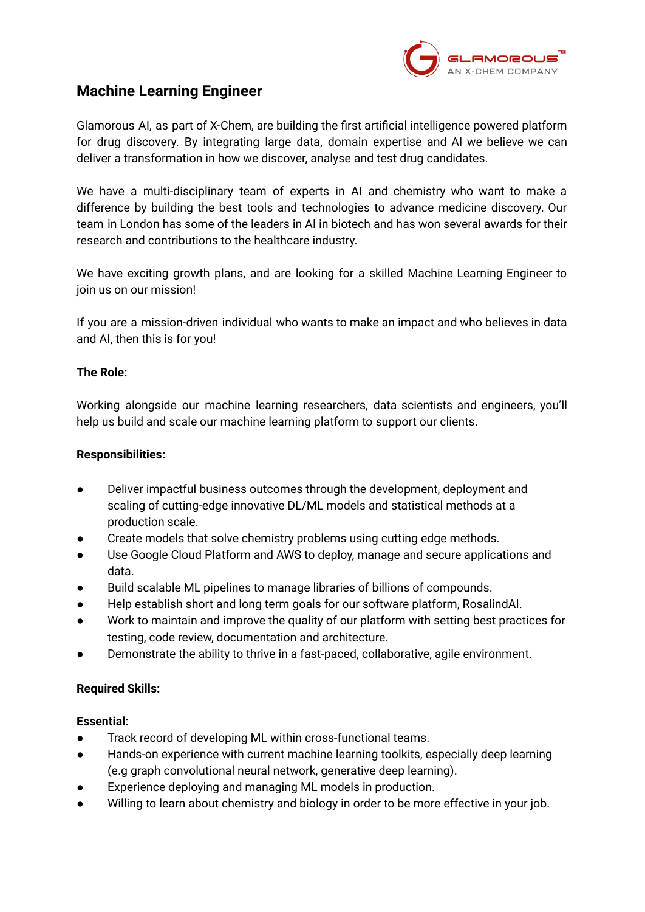

# **Machine Learning Engineer**

Glamorous AI, as part of X-Chem, are building the first artificial intelligence powered platform for drug discovery. By integrating large data, domain expertise and AI we believe we can deliver a transformation in how we discover, analyse and test drug candidates.

We have a multi-disciplinary team of experts in AI and chemistry who want to make a difference by building the best tools and technologies to advance medicine discovery. Our team in London has some of the leaders in AI in biotech and has won several awards for their research and contributions to the healthcare industry.

We have exciting growth plans, and are looking for a skilled Machine Learning Engineer to join us on our mission!

If you are a mission-driven individual who wants to make an impact and who believes in data and AI, then this is for you!

## **The Role:**

Working alongside our machine learning researchers, data scientists and engineers, you'll help us build and scale our machine learning platform to support our clients.

## **Responsibilities:**

- Deliver impactful business outcomes through the development, deployment and scaling of cutting-edge innovative DL/ML models and statistical methods at a production scale.
- Create models that solve chemistry problems using cutting edge methods.
- Use Google Cloud Platform and AWS to deploy, manage and secure applications and data.
- Build scalable ML pipelines to manage libraries of billions of compounds.
- Help establish short and long term goals for our software platform, RosalindAI.
- Work to maintain and improve the quality of our platform with setting best practices for testing, code review, documentation and architecture.
- Demonstrate the ability to thrive in a fast-paced, collaborative, agile environment.

## **Required Skills:**

## **Essential:**

- Track record of developing ML within cross-functional teams.
- Hands-on experience with current machine learning toolkits, especially deep learning (e.g graph convolutional neural network, generative deep learning).
- Experience deploying and managing ML models in production.
- Willing to learn about chemistry and biology in order to be more effective in your job.